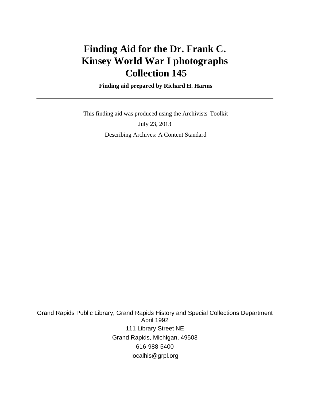# **Finding Aid for the Dr. Frank C. Kinsey World War I photographs Collection 145**

 **Finding aid prepared by Richard H. Harms**

 This finding aid was produced using the Archivists' Toolkit July 23, 2013 Describing Archives: A Content Standard

Grand Rapids Public Library, Grand Rapids History and Special Collections Department April 1992 111 Library Street NE Grand Rapids, Michigan, 49503 616-988-5400 localhis@grpl.org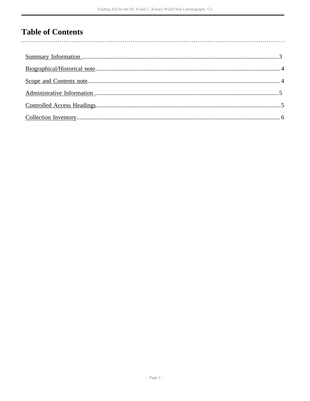## **Table of Contents**

 $\overline{\phantom{a}}$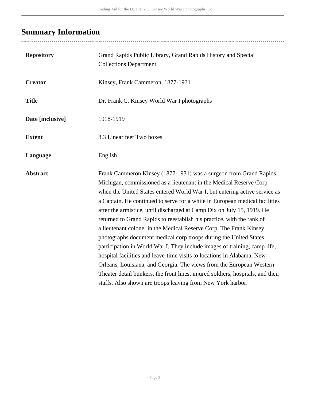# <span id="page-2-0"></span>**Summary Information**

| <b>Repository</b> | Grand Rapids Public Library, Grand Rapids History and Special<br><b>Collections Department</b>                                                                                                                                                                                                                                                                                                                                                                                                                                                                                                                                                                                                                                                                                                                                                                                                                                                                                        |  |
|-------------------|---------------------------------------------------------------------------------------------------------------------------------------------------------------------------------------------------------------------------------------------------------------------------------------------------------------------------------------------------------------------------------------------------------------------------------------------------------------------------------------------------------------------------------------------------------------------------------------------------------------------------------------------------------------------------------------------------------------------------------------------------------------------------------------------------------------------------------------------------------------------------------------------------------------------------------------------------------------------------------------|--|
| <b>Creator</b>    | Kinsey, Frank Cammeron, 1877-1931                                                                                                                                                                                                                                                                                                                                                                                                                                                                                                                                                                                                                                                                                                                                                                                                                                                                                                                                                     |  |
| <b>Title</b>      | Dr. Frank C. Kinsey World War I photographs                                                                                                                                                                                                                                                                                                                                                                                                                                                                                                                                                                                                                                                                                                                                                                                                                                                                                                                                           |  |
| Date [inclusive]  | 1918-1919                                                                                                                                                                                                                                                                                                                                                                                                                                                                                                                                                                                                                                                                                                                                                                                                                                                                                                                                                                             |  |
| <b>Extent</b>     | 8.3 Linear feet Two boxes                                                                                                                                                                                                                                                                                                                                                                                                                                                                                                                                                                                                                                                                                                                                                                                                                                                                                                                                                             |  |
| Language          | English                                                                                                                                                                                                                                                                                                                                                                                                                                                                                                                                                                                                                                                                                                                                                                                                                                                                                                                                                                               |  |
| <b>Abstract</b>   | Frank Cammeron Kinsey (1877-1931) was a surgeon from Grand Rapids,<br>Michigan, commissioned as a lieutenant in the Medical Reserve Corp<br>when the United States entered World War I, but entering active service as<br>a Captain. He continued to serve for a while in European medical facilities<br>after the armistice, until discharged at Camp Dix on July 15, 1919. He<br>returned to Grand Rapids to reestablish his practice, with the rank of<br>a lieutenant colonel in the Medical Reserve Corp. The Frank Kinsey<br>photographs document medical corp troops during the United States<br>participation in World War I. They include images of training, camp life,<br>hospital facilities and leave-time visits to locations in Alabama, New<br>Orleans, Louisiana, and Georgia. The views from the European Western<br>Theater detail bunkers, the front lines, injured soldiers, hospitals, and their<br>staffs. Also shown are troops leaving from New York harbor. |  |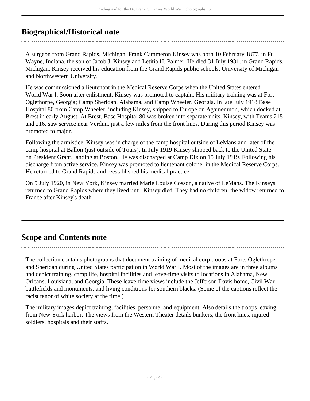### <span id="page-3-0"></span>**Biographical/Historical note**

A surgeon from Grand Rapids, Michigan, Frank Cammeron Kinsey was born 10 February 1877, in Ft. Wayne, Indiana, the son of Jacob J. Kinsey and Letitia H. Palmer. He died 31 July 1931, in Grand Rapids, Michigan. Kinsey received his education from the Grand Rapids public schools, University of Michigan and Northwestern University.

He was commissioned a lieutenant in the Medical Reserve Corps when the United States entered World War I. Soon after enlistment, Kinsey was promoted to captain. His military training was at Fort Oglethorpe, Georgia; Camp Sheridan, Alabama, and Camp Wheeler, Georgia. In late July 1918 Base Hospital 80 from Camp Wheeler, including Kinsey, shipped to Europe on Agamemnon, which docked at Brest in early August. At Brest, Base Hospital 80 was broken into separate units. Kinsey, with Teams 215 and 216, saw service near Verdun, just a few miles from the front lines. During this period Kinsey was promoted to major.

Following the armistice, Kinsey was in charge of the camp hospital outside of LeMans and later of the camp hospital at Ballon (just outside of Tours). In July 1919 Kinsey shipped back to the United State on President Grant, landing at Boston. He was discharged at Camp Dix on 15 July 1919. Following his discharge from active service, Kinsey was promoted to lieutenant colonel in the Medical Reserve Corps. He returned to Grand Rapids and reestablished his medical practice.

On 5 July 1920, in New York, Kinsey married Marie Louise Cosson, a native of LeMans. The Kinseys returned to Grand Rapids where they lived until Kinsey died. They had no children; the widow returned to France after Kinsey's death.

### <span id="page-3-1"></span>**Scope and Contents note**

The collection contains photographs that document training of medical corp troops at Forts Oglethrope and Sheridan during United States participation in World War I. Most of the images are in three albums and depict training, camp life, hospital facilities and leave-time visits to locations in Alabama, New Orleans, Louisiana, and Georgia. These leave-time views include the Jefferson Davis home, Civil War battlefields and monuments, and living conditions for southern blacks. (Some of the captions reflect the racist tenor of white society at the time.)

The military images depict training, facilities, personnel and equipment. Also details the troops leaving from New York harbor. The views from the Western Theater details bunkers, the front lines, injured soldiers, hospitals and their staffs.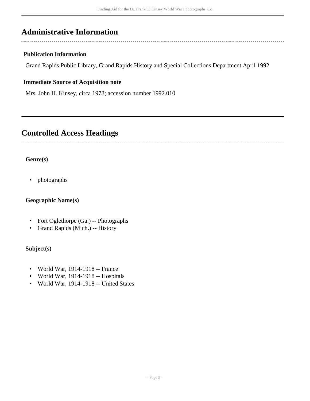### <span id="page-4-0"></span>**Administrative Information**

#### **Publication Information**

Grand Rapids Public Library, Grand Rapids History and Special Collections Department April 1992

#### **Immediate Source of Acquisition note**

Mrs. John H. Kinsey, circa 1978; accession number 1992.010

### <span id="page-4-1"></span>**Controlled Access Headings**

#### **Genre(s)**

• photographs

#### **Geographic Name(s)**

- Fort Oglethorpe (Ga.) -- Photographs
- Grand Rapids (Mich.) -- History

#### **Subject(s)**

- World War, 1914-1918 -- France
- World War, 1914-1918 -- Hospitals
- World War, 1914-1918 -- United States